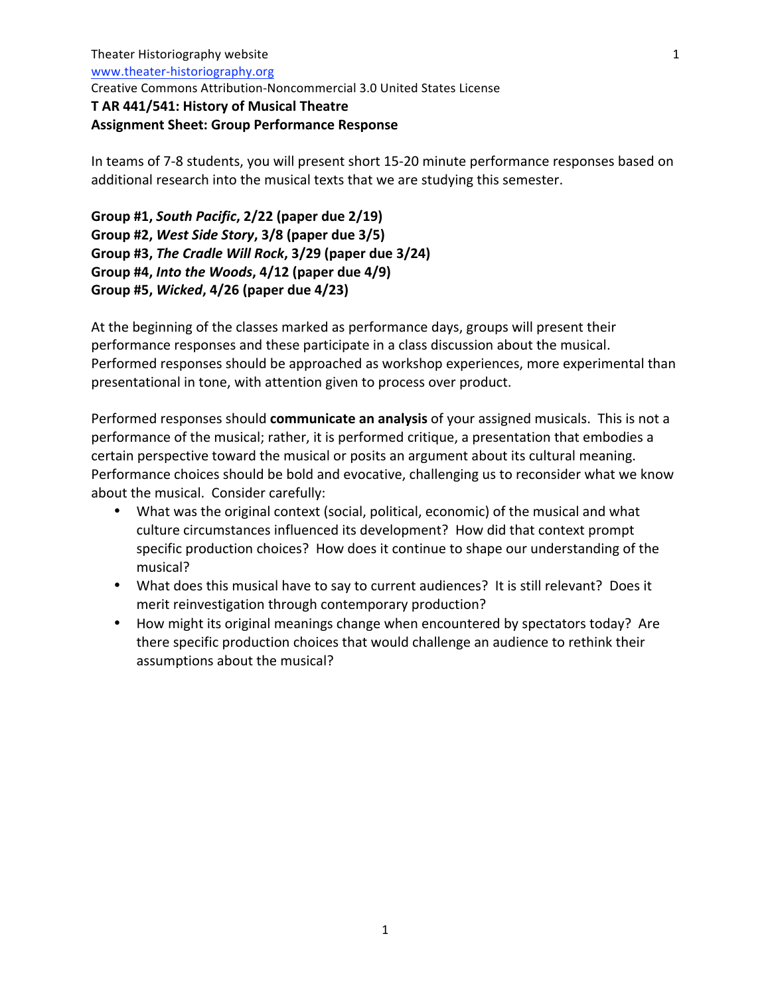## **Assignment
Sheet:
Group
Performance
Response**

In
teams
of
7‐8
students,
you
will
present short
15‐20
minute
performance
responses
based
on additional research into the musical texts that we are studying this semester.

**Group
#1,** *South
Pacific***,
2/22 (paper
due
2/19) Group
#2,** *West
Side
Story***,
3/8 (paper
due
3/5) Group
#3,** *The
Cradle
Will
Rock***,
3/29 (paper
due
3/24) Group
#4,** *Into
the
Woods***,
4/12 (paper
due
4/9) Group
#5,** *Wicked***,
4/26 (paper
due
4/23)**

At the beginning of the classes marked as performance days, groups will present their performance responses and these participate in a class discussion about the musical. Performed responses should be approached as workshop experiences, more experimental than presentational in tone, with attention given to process over product.

Performed responses should **communicate an analysis** of your assigned musicals. This is not a performance
of
the
musical;
rather,
it
is
performed
critique,
a
presentation
that
embodies
a certain perspective toward the musical or posits an argument about its cultural meaning. Performance choices should be bold and evocative, challenging us to reconsider what we know about
the
musical.

Consider
carefully:

- What was the original context (social, political, economic) of the musical and what culture
circumstances
influenced
its
development?

How
did
that
context
prompt specific production choices? How does it continue to shape our understanding of the musical?
- What does this musical have to say to current audiences? It is still relevant? Does it merit
reinvestigation
through
contemporary
production?
- How might its original meanings change when encountered by spectators today? Are there specific production choices that would challenge an audience to rethink their assumptions
about
the
musical?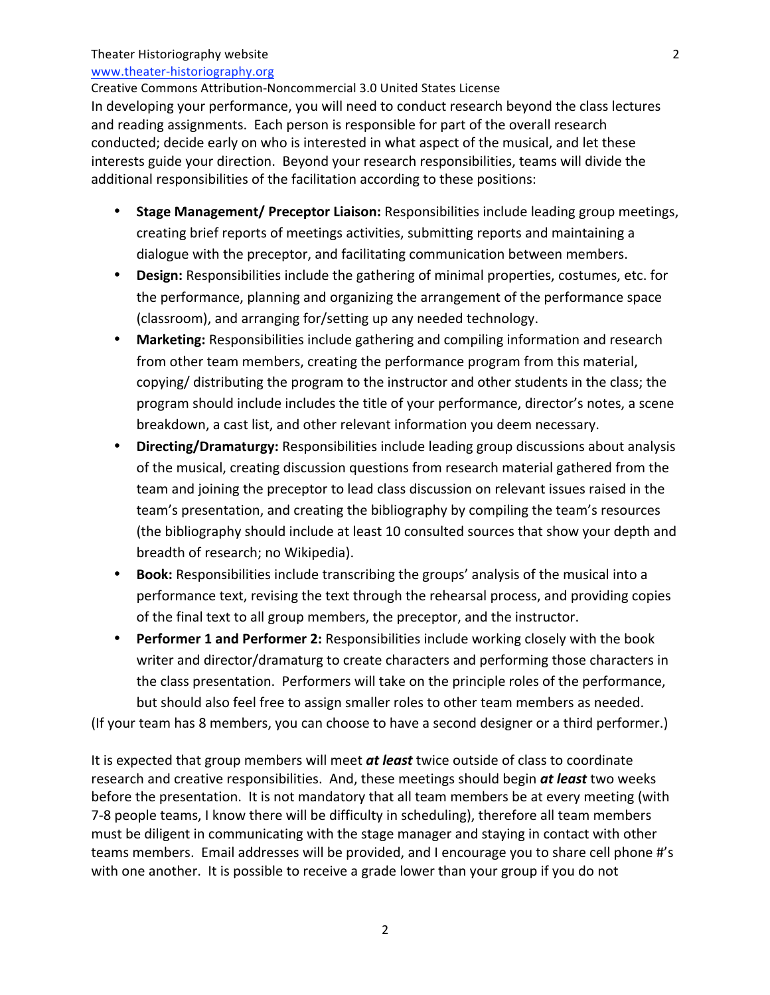#### Theater
Historiography
website

#### www.theater‐historiography.org

Creative
Commons
Attribution‐Noncommercial
3.0
United
States License In developing your performance, you will need to conduct research beyond the class lectures and
reading
assignments.

Each
person
is
responsible
for
part
of
the
overall
research conducted;
decide
early
on
who
is
interested
in
what
aspect
of
the
musical,
and
let
these interests guide vour direction. Beyond your research responsibilities, teams will divide the additional responsibilities of the facilitation according to these positions:

- **Stage Management/ Preceptor Liaison:** Responsibilities include leading group meetings, creating brief reports of meetings activities, submitting reports and maintaining a dialogue
with
the
preceptor,
and
facilitating
communication
between
members.
- Design: Responsibilities include the gathering of minimal properties, costumes, etc. for the
performance,
planning
and
organizing the
arrangement
of
the
performance
space (classroom),
and
arranging
for/setting
up
any
needed
technology.
- Marketing: Responsibilities include gathering and compiling information and research from
other
team
members,
creating
the
performance
program
from
this
material, copying/ distributing the program to the instructor and other students in the class; the program should include includes the title of your performance, director's notes, a scene breakdown,
a
cast
list,
and
other
relevant
information
you deem necessary.
- Directing/Dramaturgy: Responsibilities include leading group discussions about analysis of
the
musical,
creating
discussion
questions
from
research
material
gathered
from
the team
and
joining
the
preceptor
to
lead class
discussion
on
relevant issues
raised
in
the team's presentation, and creating the bibliography by compiling the team's resources (the
bibliography
should
include
at
least
10
consulted
sources
that
show
your
depth
and breadth
of
research;
no
Wikipedia).
- Book: Responsibilities include transcribing the groups' analysis of the musical into a performance text, revising the text through the rehearsal process, and providing copies of
the
final
text
to
all
group
members,
the
preceptor,
and
the
instructor.
- Performer 1 and Performer 2: Responsibilities include working closely with the book writer and director/dramaturg to create characters and performing those characters in the class presentation. Performers will take on the principle roles of the performance, but
should
also
feel
free
to assign smaller
roles to
other
team
members
as
needed.

(If
your
team
has
8
members,
you
can
choose
to
have
a
second
designer
or
a
third
performer.)

It is expected that group members will meet at least twice outside of class to coordinate research and creative responsibilities. And, these meetings should begin **at least** two weeks before the presentation. It is not mandatory that all team members be at every meeting (with 7‐8
people
teams,
I
know
there
will
be
difficulty
in
scheduling),
therefore
all
team
members must
be
diligent
in
communicating
with
the
stage
manager
and
staying
in
contact
with
other teams members. Email addresses will be provided, and I encourage you to share cell phone #'s with one another. It is possible to receive a grade lower than your group if you do not

2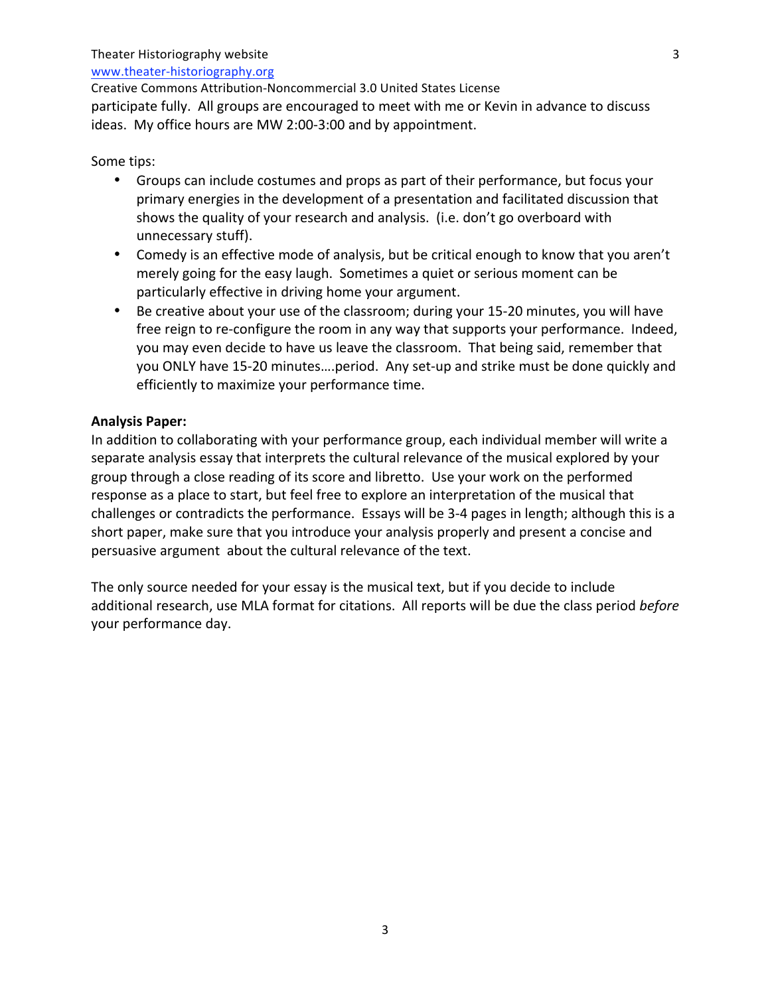#### Theater
Historiography
website

#### www.theater‐historiography.org

Creative
Commons
Attribution‐Noncommercial
3.0
United
States License participate
fully.

All
groups
are
encouraged
to
meet
with
me
or
Kevin
in
advance
to
discuss ideas.

My
office
hours
are
MW
2:00‐3:00
and
by
appointment.

#### Some
tips:

- Groups can include costumes and props as part of their performance, but focus your primary
energies
in
the
development
of
a
presentation
and
facilitated
discussion
that shows the quality of your research and analysis. (i.e. don't go overboard with unnecessary
stuff).
- Comedy is an effective mode of analysis, but be critical enough to know that you aren't merely going for the easy laugh. Sometimes a quiet or serious moment can be particularly effective in driving home your argument.
- Be creative about your use of the classroom; during your 15-20 minutes, you will have free reign to re-configure the room in any way that supports your performance. Indeed, you may even decide to have us leave the classroom. That being said, remember that you
ONLY
have
15‐20 minutes….period.

Any
set‐up
and
strike
must
be
done
quickly
and efficiently
to
maximize
your
performance
time.

#### **Analysis
Paper:**

In addition to collaborating with your performance group, each individual member will write a separate analysis essay that interprets the cultural relevance of the musical explored by your group through a close reading of its score and libretto. Use your work on the performed response as a place to start, but feel free to explore an interpretation of the musical that challenges or contradicts the performance. Essays will be 3-4 pages in length; although this is a short paper, make sure that you introduce your analysis properly and present a concise and persuasive
argument

about
the
cultural
relevance
of
the
text.

The only source needed for your essay is the musical text, but if you decide to include additional research, use MLA format for citations. All reports will be due the class period before your
performance
day.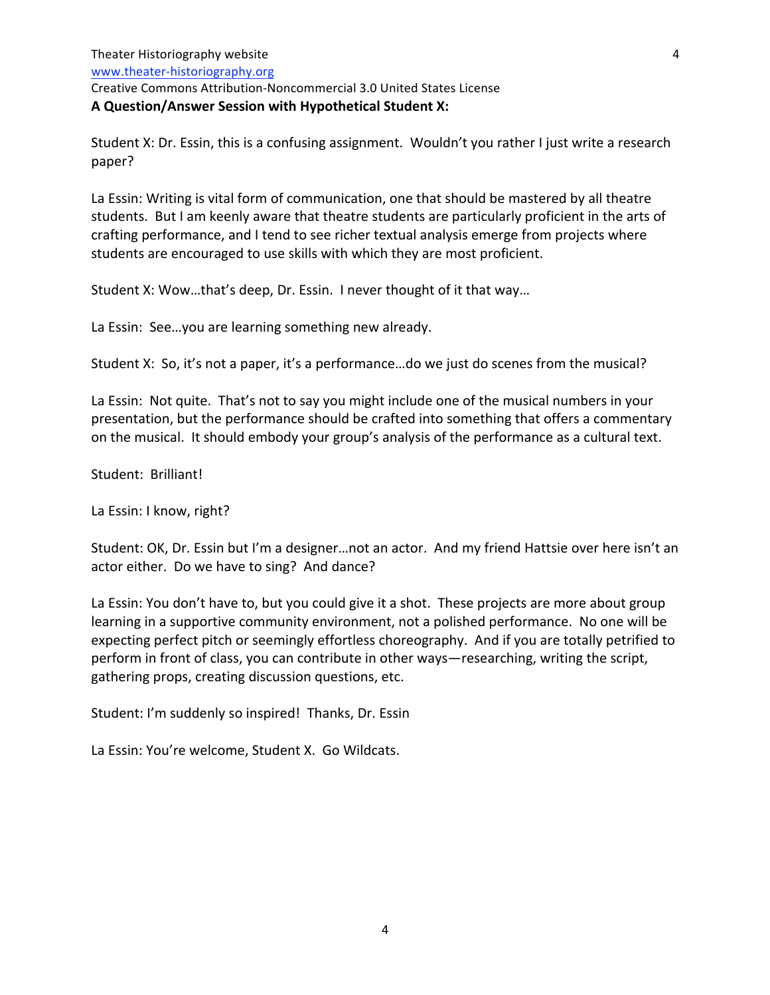Creative
Commons
Attribution‐Noncommercial
3.0
United
States License

#### **A
Question/Answer Session
with
Hypothetical
Student
X:**

Student X: Dr. Essin, this is a confusing assignment. Wouldn't you rather I just write a research paper?

La Essin: Writing is vital form of communication, one that should be mastered by all theatre students. But I am keenly aware that theatre students are particularly proficient in the arts of crafting
performance,
and
I
tend
to
see
richer
textual
analysis
emerge
from
projects
where students
are
encouraged
to
use
skills
with
which
they
are
most
proficient.

Student X: Wow...that's deep, Dr. Essin. I never thought of it that way...

La
Essin:

See…you
are learning
something
new already.

Student X: So, it's not a paper, it's a performance...do we just do scenes from the musical?

La Essin: Not quite. That's not to say you might include one of the musical numbers in your presentation,
but
the
performance
should
be
crafted
into
something
that
offers
a
commentary on the musical. It should embody your group's analysis of the performance as a cultural text.

Student:

Brilliant!

La
Essin:
I
know,
right?

Student: OK, Dr. Essin but I'm a designer...not an actor. And my friend Hattsie over here isn't an actor
either.

Do
we
have
to
sing?

And
dance?

La Essin: You don't have to, but you could give it a shot. These projects are more about group learning in a supportive community environment, not a polished performance. No one will be expecting perfect pitch or seemingly effortless choreography. And if you are totally petrified to perform
in
front
of
class,
you
can
contribute
in
other
ways—researching,
writing
the
script, gathering
props,
creating
discussion
questions,
etc.

Student: I'm suddenly so inspired! Thanks, Dr. Essin

La
Essin:
You're
welcome,
Student
X.

Go
Wildcats.